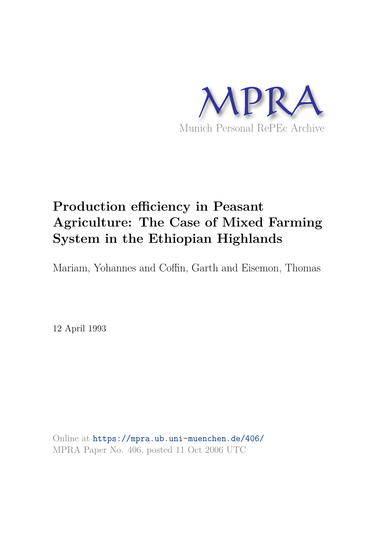

# **Production efficiency in Peasant Agriculture: The Case of Mixed Farming System in the Ethiopian Highlands**

Mariam, Yohannes and Coffin, Garth and Eisemon, Thomas

12 April 1993

Online at https://mpra.ub.uni-muenchen.de/406/ MPRA Paper No. 406, posted 11 Oct 2006 UTC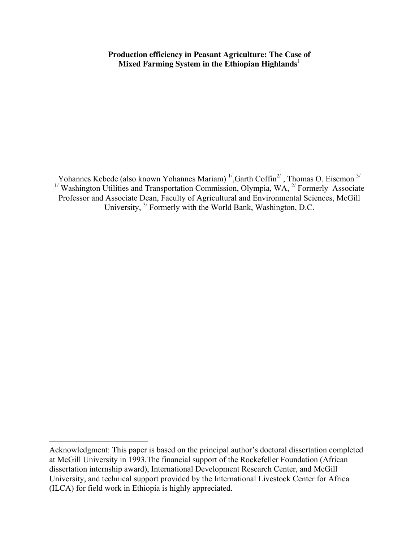**Production efficiency in Peasant Agriculture: The Case of Mixed Farming System in the Ethiopian Highlands**<sup>1</sup>

Yohannes Kebede (also known Yohannes Mariam)  $\frac{1}{2}$ , Garth Coffin<sup>2</sup>, Thomas O. Eisemon  $\frac{3}{2}$ <sup>1/</sup> Washington Utilities and Transportation Commission, Olympia, WA,  $^{2}$  Formerly Associate Professor and Associate Dean, Faculty of Agricultural and Environmental Sciences, McGill University, 3/ Formerly with the World Bank, Washington, D.C.

Acknowledgment: This paper is based on the principal author's doctoral dissertation completed at McGill University in 1993.The financial support of the Rockefeller Foundation (African dissertation internship award), International Development Research Center, and McGill University, and technical support provided by the International Livestock Center for Africa (ILCA) for field work in Ethiopia is highly appreciated.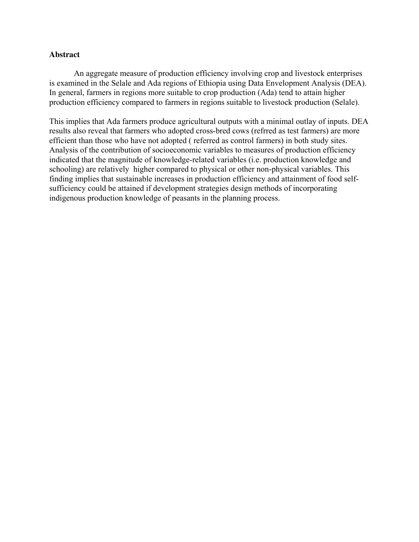# **Abstract**

 An aggregate measure of production efficiency involving crop and livestock enterprises is examined in the Selale and Ada regions of Ethiopia using Data Envelopment Analysis (DEA). In general, farmers in regions more suitable to crop production (Ada) tend to attain higher production efficiency compared to farmers in regions suitable to livestock production (Selale).

This implies that Ada farmers produce agricultural outputs with a minimal outlay of inputs. DEA results also reveal that farmers who adopted cross-bred cows (refrred as test farmers) are more efficient than those who have not adopted ( referred as control farmers) in both study sites. Analysis of the contribution of socioeconomic variables to measures of production efficiency indicated that the magnitude of knowledge-related variables (i.e. production knowledge and schooling) are relatively higher compared to physical or other non-physical variables. This finding implies that sustainable increases in production efficiency and attainment of food selfsufficiency could be attained if development strategies design methods of incorporating indigenous production knowledge of peasants in the planning process.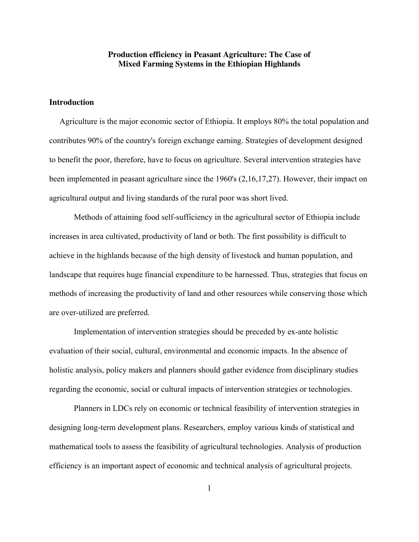# **Production efficiency in Peasant Agriculture: The Case of Mixed Farming Systems in the Ethiopian Highlands**

## **Introduction**

 Agriculture is the major economic sector of Ethiopia. It employs 80% the total population and contributes 90% of the country's foreign exchange earning. Strategies of development designed to benefit the poor, therefore, have to focus on agriculture. Several intervention strategies have been implemented in peasant agriculture since the 1960's (2,16,17,27). However, their impact on agricultural output and living standards of the rural poor was short lived.

 Methods of attaining food self-sufficiency in the agricultural sector of Ethiopia include increases in area cultivated, productivity of land or both. The first possibility is difficult to achieve in the highlands because of the high density of livestock and human population, and landscape that requires huge financial expenditure to be harnessed. Thus, strategies that focus on methods of increasing the productivity of land and other resources while conserving those which are over-utilized are preferred.

 Implementation of intervention strategies should be preceded by ex-ante holistic evaluation of their social, cultural, environmental and economic impacts. In the absence of holistic analysis, policy makers and planners should gather evidence from disciplinary studies regarding the economic, social or cultural impacts of intervention strategies or technologies.

 Planners in LDCs rely on economic or technical feasibility of intervention strategies in designing long-term development plans. Researchers, employ various kinds of statistical and mathematical tools to assess the feasibility of agricultural technologies. Analysis of production efficiency is an important aspect of economic and technical analysis of agricultural projects.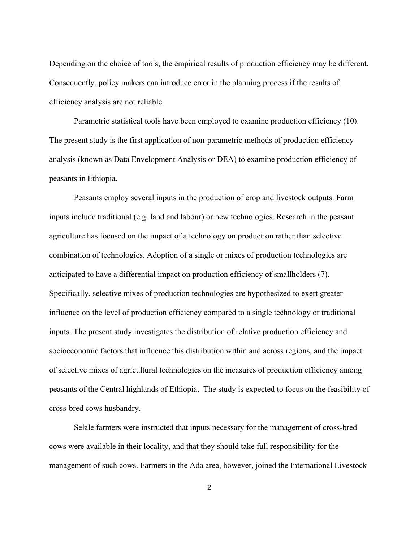Depending on the choice of tools, the empirical results of production efficiency may be different. Consequently, policy makers can introduce error in the planning process if the results of efficiency analysis are not reliable.

 Parametric statistical tools have been employed to examine production efficiency (10). The present study is the first application of non-parametric methods of production efficiency analysis (known as Data Envelopment Analysis or DEA) to examine production efficiency of peasants in Ethiopia.

 Peasants employ several inputs in the production of crop and livestock outputs. Farm inputs include traditional (e.g. land and labour) or new technologies. Research in the peasant agriculture has focused on the impact of a technology on production rather than selective combination of technologies. Adoption of a single or mixes of production technologies are anticipated to have a differential impact on production efficiency of smallholders (7). Specifically, selective mixes of production technologies are hypothesized to exert greater influence on the level of production efficiency compared to a single technology or traditional inputs. The present study investigates the distribution of relative production efficiency and socioeconomic factors that influence this distribution within and across regions, and the impact of selective mixes of agricultural technologies on the measures of production efficiency among peasants of the Central highlands of Ethiopia. The study is expected to focus on the feasibility of cross-bred cows husbandry.

 Selale farmers were instructed that inputs necessary for the management of cross-bred cows were available in their locality, and that they should take full responsibility for the management of such cows. Farmers in the Ada area, however, joined the International Livestock

2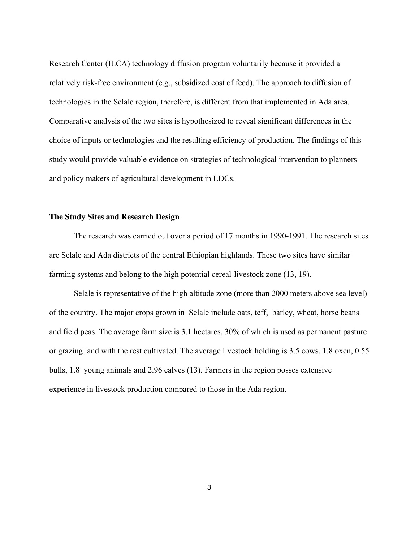Research Center (ILCA) technology diffusion program voluntarily because it provided a relatively risk-free environment (e.g., subsidized cost of feed). The approach to diffusion of technologies in the Selale region, therefore, is different from that implemented in Ada area. Comparative analysis of the two sites is hypothesized to reveal significant differences in the choice of inputs or technologies and the resulting efficiency of production. The findings of this study would provide valuable evidence on strategies of technological intervention to planners and policy makers of agricultural development in LDCs.

#### **The Study Sites and Research Design**

 The research was carried out over a period of 17 months in 1990-1991. The research sites are Selale and Ada districts of the central Ethiopian highlands. These two sites have similar farming systems and belong to the high potential cereal-livestock zone (13, 19).

 Selale is representative of the high altitude zone (more than 2000 meters above sea level) of the country. The major crops grown in Selale include oats, teff, barley, wheat, horse beans and field peas. The average farm size is 3.1 hectares, 30% of which is used as permanent pasture or grazing land with the rest cultivated. The average livestock holding is 3.5 cows, 1.8 oxen, 0.55 bulls, 1.8 young animals and 2.96 calves (13). Farmers in the region posses extensive experience in livestock production compared to those in the Ada region.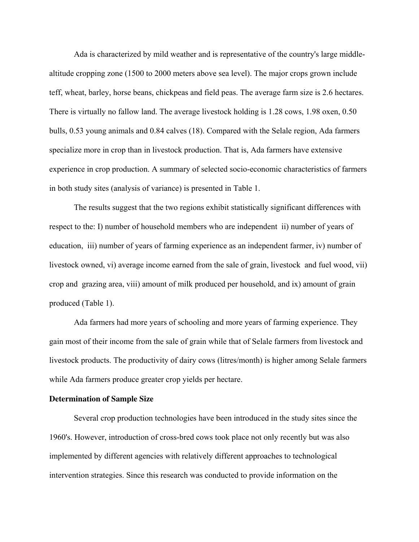Ada is characterized by mild weather and is representative of the country's large middlealtitude cropping zone (1500 to 2000 meters above sea level). The major crops grown include teff, wheat, barley, horse beans, chickpeas and field peas. The average farm size is 2.6 hectares. There is virtually no fallow land. The average livestock holding is 1.28 cows, 1.98 oxen, 0.50 bulls, 0.53 young animals and 0.84 calves (18). Compared with the Selale region, Ada farmers specialize more in crop than in livestock production. That is, Ada farmers have extensive experience in crop production. A summary of selected socio-economic characteristics of farmers in both study sites (analysis of variance) is presented in Table 1.

 The results suggest that the two regions exhibit statistically significant differences with respect to the: I) number of household members who are independent ii) number of years of education, iii) number of years of farming experience as an independent farmer, iv) number of livestock owned, vi) average income earned from the sale of grain, livestock and fuel wood, vii) crop and grazing area, viii) amount of milk produced per household, and ix) amount of grain produced (Table 1).

 Ada farmers had more years of schooling and more years of farming experience. They gain most of their income from the sale of grain while that of Selale farmers from livestock and livestock products. The productivity of dairy cows (litres/month) is higher among Selale farmers while Ada farmers produce greater crop yields per hectare.

## **Determination of Sample Size**

 Several crop production technologies have been introduced in the study sites since the 1960's. However, introduction of cross-bred cows took place not only recently but was also implemented by different agencies with relatively different approaches to technological intervention strategies. Since this research was conducted to provide information on the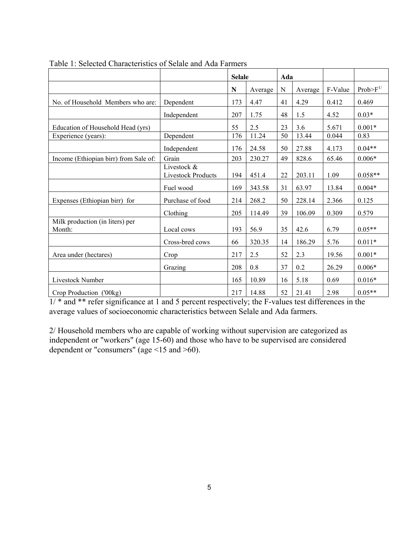|                                           |                                          | <b>Selale</b> |         | Ada         |         |         |               |
|-------------------------------------------|------------------------------------------|---------------|---------|-------------|---------|---------|---------------|
|                                           |                                          | N             | Average | $\mathbf N$ | Average | F-Value | $Prob>F^{1/}$ |
| No. of Household Members who are:         | Dependent                                | 173           | 4.47    | 41          | 4.29    | 0.412   | 0.469         |
|                                           | Independent                              | 207           | 1.75    | 48          | 1.5     | 4.52    | $0.03*$       |
| Education of Household Head (yrs)         |                                          | 55            | 2.5     | 23          | 3.6     | 5.671   | $0.001*$      |
| Experience (years):                       | Dependent                                | 176           | 11.24   | 50          | 13.44   | 0.044   | 0.83          |
|                                           | Independent                              | 176           | 24.58   | 50          | 27.88   | 4.173   | $0.04**$      |
| Income (Ethiopian birr) from Sale of:     | Grain                                    | 203           | 230.27  | 49          | 828.6   | 65.46   | $0.006*$      |
|                                           | Livestock &<br><b>Livestock Products</b> | 194           | 451.4   | 22          | 203.11  | 1.09    | $0.058**$     |
|                                           | Fuel wood                                | 169           | 343.58  | 31          | 63.97   | 13.84   | $0.004*$      |
| Expenses (Ethiopian birr) for             | Purchase of food                         | 214           | 268.2   | 50          | 228.14  | 2.366   | 0.125         |
|                                           | Clothing                                 | 205           | 114.49  | 39          | 106.09  | 0.309   | 0.579         |
| Milk production (in liters) per<br>Month: | Local cows                               | 193           | 56.9    | 35          | 42.6    | 6.79    | $0.05**$      |
|                                           | Cross-bred cows                          | 66            | 320.35  | 14          | 186.29  | 5.76    | $0.011*$      |
| Area under (hectares)                     | Crop                                     | 217           | 2.5     | 52          | 2.3     | 19.56   | $0.001*$      |
|                                           | Grazing                                  | 208           | 0.8     | 37          | 0.2     | 26.29   | $0.006*$      |
| Livestock Number                          |                                          | 165           | 10.89   | 16          | 5.18    | 0.69    | $0.016*$      |
| Crop Production ('00kg)                   |                                          | 217           | 14.88   | 52          | 21.41   | 2.98    | $0.05**$      |

Table 1: Selected Characteristics of Selale and Ada Farmers

 $1/*$  and \*\* refer significance at 1 and 5 percent respectively; the F-values test differences in the average values of socioeconomic characteristics between Selale and Ada farmers.

2/ Household members who are capable of working without supervision are categorized as independent or "workers" (age 15-60) and those who have to be supervised are considered dependent or "consumers" (age <15 and >60).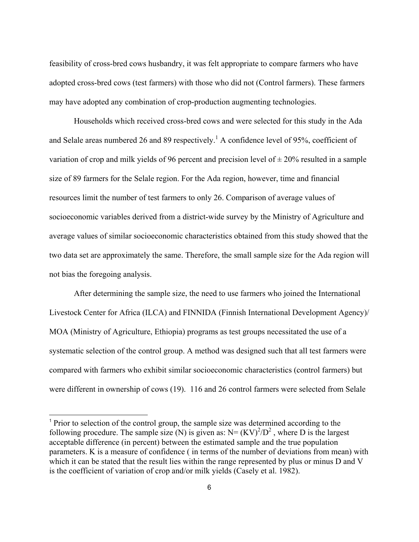feasibility of cross-bred cows husbandry, it was felt appropriate to compare farmers who have adopted cross-bred cows (test farmers) with those who did not (Control farmers). These farmers may have adopted any combination of crop-production augmenting technologies.

 Households which received cross-bred cows and were selected for this study in the Ada and Selale areas numbered 26 and 89 respectively.<sup>1</sup> A confidence level of 95%, coefficient of variation of crop and milk yields of 96 percent and precision level of  $\pm$  20% resulted in a sample size of 89 farmers for the Selale region. For the Ada region, however, time and financial resources limit the number of test farmers to only 26. Comparison of average values of socioeconomic variables derived from a district-wide survey by the Ministry of Agriculture and average values of similar socioeconomic characteristics obtained from this study showed that the two data set are approximately the same. Therefore, the small sample size for the Ada region will not bias the foregoing analysis.

 After determining the sample size, the need to use farmers who joined the International Livestock Center for Africa (ILCA) and FINNIDA (Finnish International Development Agency)/ MOA (Ministry of Agriculture, Ethiopia) programs as test groups necessitated the use of a systematic selection of the control group. A method was designed such that all test farmers were compared with farmers who exhibit similar socioeconomic characteristics (control farmers) but were different in ownership of cows (19). 116 and 26 control farmers were selected from Selale

 $\overline{a}$ 

<sup>1</sup> Prior to selection of the control group, the sample size was determined according to the following procedure. The sample size (N) is given as:  $N = (KV)^2/D^2$ , where D is the largest acceptable difference (in percent) between the estimated sample and the true population parameters. K is a measure of confidence ( in terms of the number of deviations from mean) with which it can be stated that the result lies within the range represented by plus or minus D and V is the coefficient of variation of crop and/or milk yields (Casely et al. 1982).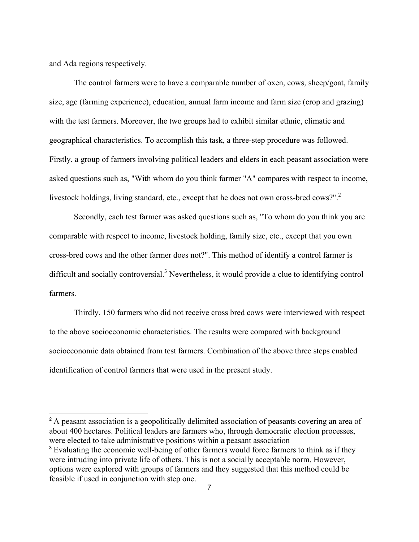and Ada regions respectively.

L

 The control farmers were to have a comparable number of oxen, cows, sheep/goat, family size, age (farming experience), education, annual farm income and farm size (crop and grazing) with the test farmers. Moreover, the two groups had to exhibit similar ethnic, climatic and geographical characteristics. To accomplish this task, a three-step procedure was followed. Firstly, a group of farmers involving political leaders and elders in each peasant association were asked questions such as, "With whom do you think farmer "A" compares with respect to income, livestock holdings, living standard, etc., except that he does not own cross-bred cows?".<sup>2</sup>

 Secondly, each test farmer was asked questions such as, "To whom do you think you are comparable with respect to income, livestock holding, family size, etc., except that you own cross-bred cows and the other farmer does not?". This method of identify a control farmer is difficult and socially controversial.<sup>3</sup> Nevertheless, it would provide a clue to identifying control farmers.

 Thirdly, 150 farmers who did not receive cross bred cows were interviewed with respect to the above socioeconomic characteristics. The results were compared with background socioeconomic data obtained from test farmers. Combination of the above three steps enabled identification of control farmers that were used in the present study.

<sup>2</sup> A peasant association is a geopolitically delimited association of peasants covering an area of about 400 hectares. Political leaders are farmers who, through democratic election processes, were elected to take administrative positions within a peasant association <sup>3</sup> Evaluating the economic well-being of other farmers would force farmers to think as if they were intruding into private life of others. This is not a socially acceptable norm. However, options were explored with groups of farmers and they suggested that this method could be feasible if used in conjunction with step one.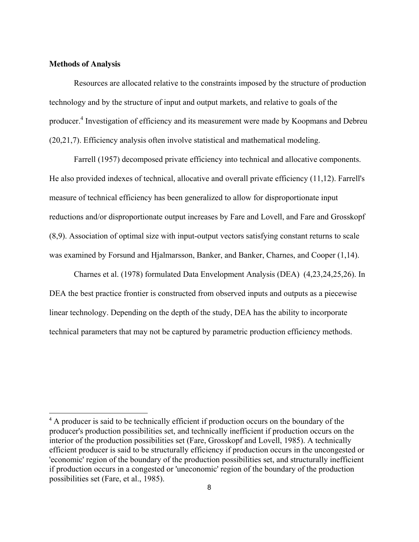# **Methods of Analysis**

 Resources are allocated relative to the constraints imposed by the structure of production technology and by the structure of input and output markets, and relative to goals of the producer.<sup>4</sup> Investigation of efficiency and its measurement were made by Koopmans and Debreu (20,21,7). Efficiency analysis often involve statistical and mathematical modeling.

 Farrell (1957) decomposed private efficiency into technical and allocative components. He also provided indexes of technical, allocative and overall private efficiency (11,12). Farrell's measure of technical efficiency has been generalized to allow for disproportionate input reductions and/or disproportionate output increases by Fare and Lovell, and Fare and Grosskopf (8,9). Association of optimal size with input-output vectors satisfying constant returns to scale was examined by Forsund and Hjalmarsson, Banker, and Banker, Charnes, and Cooper (1,14).

 Charnes et al. (1978) formulated Data Envelopment Analysis (DEA) (4,23,24,25,26). In DEA the best practice frontier is constructed from observed inputs and outputs as a piecewise linear technology. Depending on the depth of the study, DEA has the ability to incorporate technical parameters that may not be captured by parametric production efficiency methods.

<sup>&</sup>lt;sup>4</sup> A producer is said to be technically efficient if production occurs on the boundary of the producer's production possibilities set, and technically inefficient if production occurs on the interior of the production possibilities set (Fare, Grosskopf and Lovell, 1985). A technically efficient producer is said to be structurally efficiency if production occurs in the uncongested or 'economic' region of the boundary of the production possibilities set, and structurally inefficient if production occurs in a congested or 'uneconomic' region of the boundary of the production possibilities set (Fare, et al., 1985).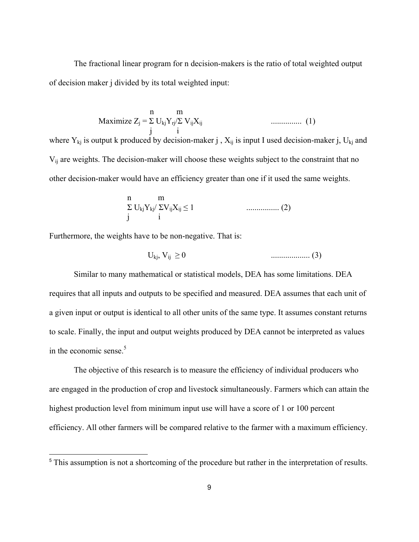The fractional linear program for n decision-makers is the ratio of total weighted output of decision maker j divided by its total weighted input:

$$
\text{Maximize } Z_j = \sum_{j}^{n} U_{kj} Y_{rj} / \sum_{j}^{n} V_{ij} X_{ij} \quad \dots \quad \dots \quad \dots \quad \text{(1)}
$$

where  $Y_{ki}$  is output k produced by decision-maker j,  $X_{ii}$  is input I used decision-maker j,  $U_{ki}$  and V<sub>ij</sub> are weights. The decision-maker will choose these weights subject to the constraint that no other decision-maker would have an efficiency greater than one if it used the same weights.

$$
\sum_{j}^{n} U_{kj} Y_{kj} / \sum_{ij} V_{ij} X_{ij} \le 1 \qquad \qquad \dots \dots \dots \dots \dots \dots \tag{2}
$$

Furthermore, the weights have to be non-negative. That is:

L

$$
U_{kj}, V_{ij} \geq 0
$$
 (3)

 Similar to many mathematical or statistical models, DEA has some limitations. DEA requires that all inputs and outputs to be specified and measured. DEA assumes that each unit of a given input or output is identical to all other units of the same type. It assumes constant returns to scale. Finally, the input and output weights produced by DEA cannot be interpreted as values in the economic sense. $5$ 

 The objective of this research is to measure the efficiency of individual producers who are engaged in the production of crop and livestock simultaneously. Farmers which can attain the highest production level from minimum input use will have a score of 1 or 100 percent efficiency. All other farmers will be compared relative to the farmer with a maximum efficiency.

<sup>&</sup>lt;sup>5</sup> This assumption is not a shortcoming of the procedure but rather in the interpretation of results.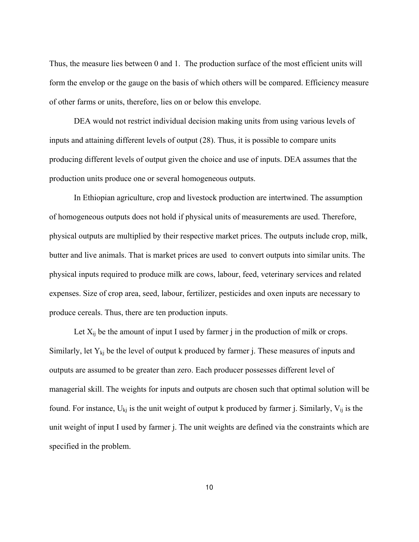Thus, the measure lies between 0 and 1. The production surface of the most efficient units will form the envelop or the gauge on the basis of which others will be compared. Efficiency measure of other farms or units, therefore, lies on or below this envelope.

 DEA would not restrict individual decision making units from using various levels of inputs and attaining different levels of output (28). Thus, it is possible to compare units producing different levels of output given the choice and use of inputs. DEA assumes that the production units produce one or several homogeneous outputs.

 In Ethiopian agriculture, crop and livestock production are intertwined. The assumption of homogeneous outputs does not hold if physical units of measurements are used. Therefore, physical outputs are multiplied by their respective market prices. The outputs include crop, milk, butter and live animals. That is market prices are used to convert outputs into similar units. The physical inputs required to produce milk are cows, labour, feed, veterinary services and related expenses. Size of crop area, seed, labour, fertilizer, pesticides and oxen inputs are necessary to produce cereals. Thus, there are ten production inputs.

Let  $X_{ii}$  be the amount of input I used by farmer j in the production of milk or crops. Similarly, let  $Y_{ki}$  be the level of output k produced by farmer j. These measures of inputs and outputs are assumed to be greater than zero. Each producer possesses different level of managerial skill. The weights for inputs and outputs are chosen such that optimal solution will be found. For instance,  $U_{ki}$  is the unit weight of output k produced by farmer j. Similarly,  $V_{ii}$  is the unit weight of input I used by farmer j. The unit weights are defined via the constraints which are specified in the problem.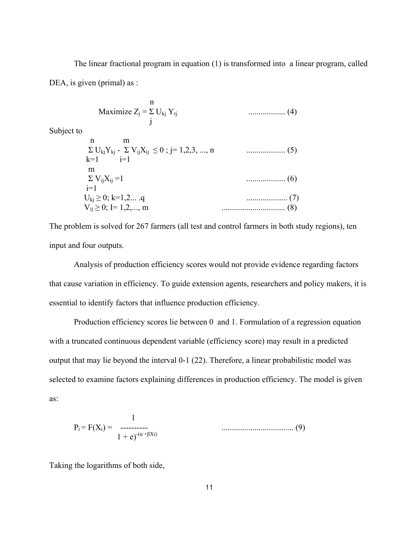The linear fractional program in equation (1) is transformed into a linear program, called DEA, is given (primal) as :

Maximize 
$$
Z_j = \sum_{k}^{n} U_{kj} Y_{rj}
$$
 (4)

Subject to

 n m Σ UkjYkj - Σ VijXij ≤ 0 ; j= 1,2,3, ..., n ................... (5)  $k=1$  m Σ VijXij =1 ................... (6)  $i=1$  Ukj ≥ 0; k=1,2... .q .................... (7) Vij ≥ 0; I= 1,2,..., m ............................... (8)

The problem is solved for 267 farmers (all test and control farmers in both study regions), ten input and four outputs.

 Analysis of production efficiency scores would not provide evidence regarding factors that cause variation in efficiency. To guide extension agents, researchers and policy makers, it is essential to identify factors that influence production efficiency.

 Production efficiency scores lie between 0 and 1. Formulation of a regression equation with a truncated continuous dependent variable (efficiency score) may result in a predicted output that may lie beyond the interval 0-1 (22). Therefore, a linear probabilistic model was selected to examine factors explaining differences in production efficiency. The model is given as:

$$
P_i = F(X_i) = \frac{1}{1 + e)^{-(\alpha + \beta X i)}}
$$
\n(9)

Taking the logarithms of both side,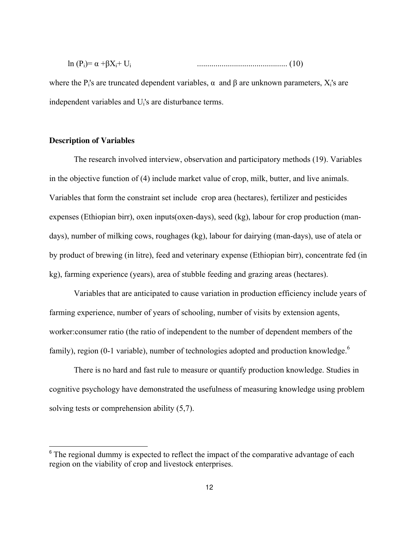| $\mathbf{v}$<br>$\sim$ | ln<br>$\sim$<br>. .<br>w |  |  |
|------------------------|--------------------------|--|--|
|------------------------|--------------------------|--|--|

where the  $P_i$ 's are truncated dependent variables,  $\alpha$  and  $\beta$  are unknown parameters,  $X_i$ 's are independent variables and U<sup>i</sup> 's are disturbance terms.

# **Description of Variables**

L

 The research involved interview, observation and participatory methods (19). Variables in the objective function of (4) include market value of crop, milk, butter, and live animals. Variables that form the constraint set include crop area (hectares), fertilizer and pesticides expenses (Ethiopian birr), oxen inputs(oxen-days), seed (kg), labour for crop production (mandays), number of milking cows, roughages (kg), labour for dairying (man-days), use of atela or by product of brewing (in litre), feed and veterinary expense (Ethiopian birr), concentrate fed (in kg), farming experience (years), area of stubble feeding and grazing areas (hectares).

 Variables that are anticipated to cause variation in production efficiency include years of farming experience, number of years of schooling, number of visits by extension agents, worker:consumer ratio (the ratio of independent to the number of dependent members of the family), region (0-1 variable), number of technologies adopted and production knowledge.<sup>6</sup>

 There is no hard and fast rule to measure or quantify production knowledge. Studies in cognitive psychology have demonstrated the usefulness of measuring knowledge using problem solving tests or comprehension ability (5,7).

 $6$  The regional dummy is expected to reflect the impact of the comparative advantage of each region on the viability of crop and livestock enterprises.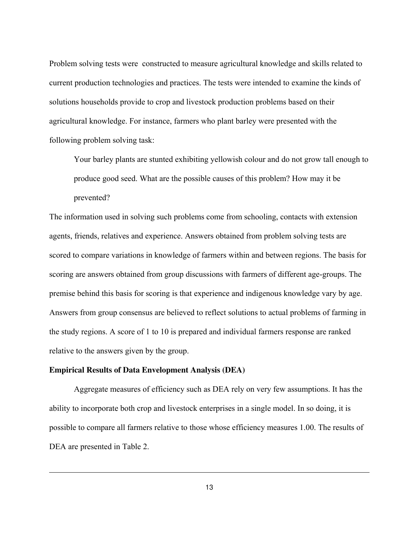Problem solving tests were constructed to measure agricultural knowledge and skills related to current production technologies and practices. The tests were intended to examine the kinds of solutions households provide to crop and livestock production problems based on their agricultural knowledge. For instance, farmers who plant barley were presented with the following problem solving task:

Your barley plants are stunted exhibiting yellowish colour and do not grow tall enough to produce good seed. What are the possible causes of this problem? How may it be prevented?

The information used in solving such problems come from schooling, contacts with extension agents, friends, relatives and experience. Answers obtained from problem solving tests are scored to compare variations in knowledge of farmers within and between regions. The basis for scoring are answers obtained from group discussions with farmers of different age-groups. The premise behind this basis for scoring is that experience and indigenous knowledge vary by age. Answers from group consensus are believed to reflect solutions to actual problems of farming in the study regions. A score of 1 to 10 is prepared and individual farmers response are ranked relative to the answers given by the group.

#### **Empirical Results of Data Envelopment Analysis (DEA)**

 Aggregate measures of efficiency such as DEA rely on very few assumptions. It has the ability to incorporate both crop and livestock enterprises in a single model. In so doing, it is possible to compare all farmers relative to those whose efficiency measures 1.00. The results of DEA are presented in Table 2.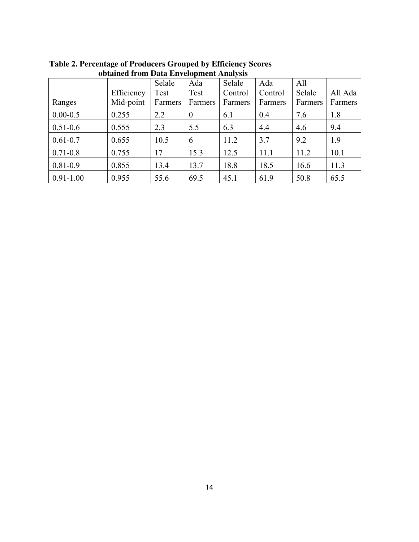|               |            | Selale  | Ada              | Selale  | Ada     | All     |         |
|---------------|------------|---------|------------------|---------|---------|---------|---------|
|               | Efficiency | Test    | Test             | Control | Control | Selale  | All Ada |
| Ranges        | Mid-point  | Farmers | Farmers          | Farmers | Farmers | Farmers | Farmers |
| $0.00 - 0.5$  | 0.255      | 2.2     | $\boldsymbol{0}$ | 6.1     | 0.4     | 7.6     | 1.8     |
| $0.51 - 0.6$  | 0.555      | 2.3     | 5.5              | 6.3     | 4.4     | 4.6     | 9.4     |
| $0.61 - 0.7$  | 0.655      | 10.5    | 6                | 11.2    | 3.7     | 9.2     | 1.9     |
| $0.71 - 0.8$  | 0.755      | 17      | 15.3             | 12.5    | 11.1    | 11.2    | 10.1    |
| $0.81 - 0.9$  | 0.855      | 13.4    | 13.7             | 18.8    | 18.5    | 16.6    | 11.3    |
| $0.91 - 1.00$ | 0.955      | 55.6    | 69.5             | 45.1    | 61.9    | 50.8    | 65.5    |

**Table 2. Percentage of Producers Grouped by Efficiency Scores obtained from Data Envelopment Analysis**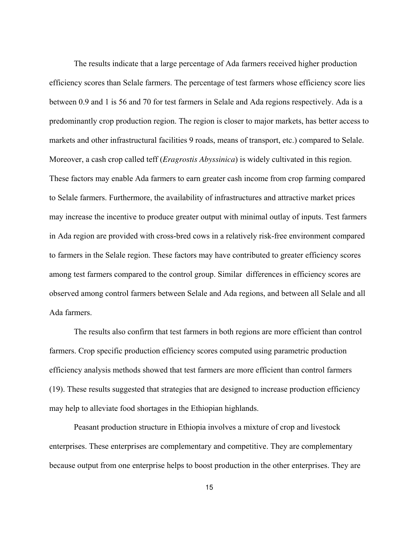The results indicate that a large percentage of Ada farmers received higher production efficiency scores than Selale farmers. The percentage of test farmers whose efficiency score lies between 0.9 and 1 is 56 and 70 for test farmers in Selale and Ada regions respectively. Ada is a predominantly crop production region. The region is closer to major markets, has better access to markets and other infrastructural facilities 9 roads, means of transport, etc.) compared to Selale. Moreover, a cash crop called teff (*Eragrostis Abyssinica*) is widely cultivated in this region. These factors may enable Ada farmers to earn greater cash income from crop farming compared to Selale farmers. Furthermore, the availability of infrastructures and attractive market prices may increase the incentive to produce greater output with minimal outlay of inputs. Test farmers in Ada region are provided with cross-bred cows in a relatively risk-free environment compared to farmers in the Selale region. These factors may have contributed to greater efficiency scores among test farmers compared to the control group. Similar differences in efficiency scores are observed among control farmers between Selale and Ada regions, and between all Selale and all Ada farmers.

 The results also confirm that test farmers in both regions are more efficient than control farmers. Crop specific production efficiency scores computed using parametric production efficiency analysis methods showed that test farmers are more efficient than control farmers (19). These results suggested that strategies that are designed to increase production efficiency may help to alleviate food shortages in the Ethiopian highlands.

 Peasant production structure in Ethiopia involves a mixture of crop and livestock enterprises. These enterprises are complementary and competitive. They are complementary because output from one enterprise helps to boost production in the other enterprises. They are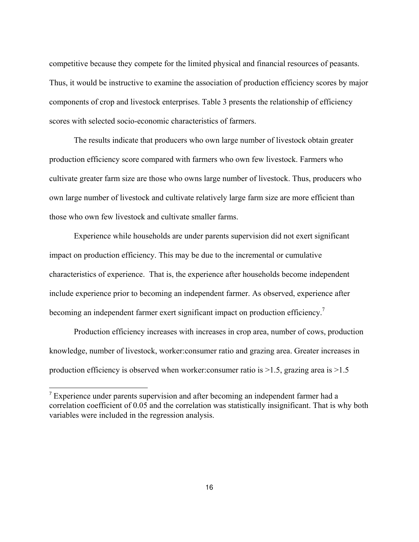competitive because they compete for the limited physical and financial resources of peasants. Thus, it would be instructive to examine the association of production efficiency scores by major components of crop and livestock enterprises. Table 3 presents the relationship of efficiency scores with selected socio-economic characteristics of farmers.

 The results indicate that producers who own large number of livestock obtain greater production efficiency score compared with farmers who own few livestock. Farmers who cultivate greater farm size are those who owns large number of livestock. Thus, producers who own large number of livestock and cultivate relatively large farm size are more efficient than those who own few livestock and cultivate smaller farms.

 Experience while households are under parents supervision did not exert significant impact on production efficiency. This may be due to the incremental or cumulative characteristics of experience. That is, the experience after households become independent include experience prior to becoming an independent farmer. As observed, experience after becoming an independent farmer exert significant impact on production efficiency.<sup>7</sup>

 Production efficiency increases with increases in crop area, number of cows, production knowledge, number of livestock, worker:consumer ratio and grazing area. Greater increases in production efficiency is observed when worker: consumer ratio is  $>1.5$ , grazing area is  $>1.5$ 

L

<sup>&</sup>lt;sup>7</sup> Experience under parents supervision and after becoming an independent farmer had a correlation coefficient of 0.05 and the correlation was statistically insignificant. That is why both variables were included in the regression analysis.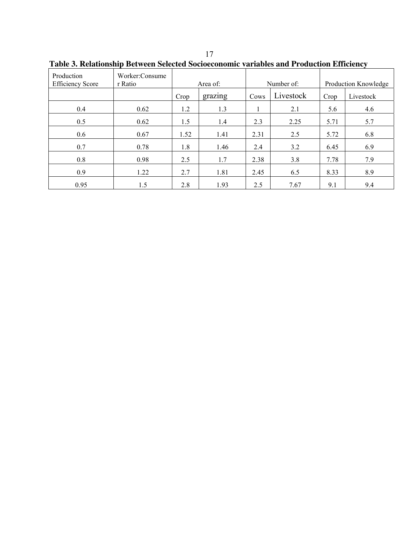| Production<br><b>Efficiency Score</b> | Worker:Consume<br>r Ratio |      | Area of: |      | Number of: |      | Production Knowledge |
|---------------------------------------|---------------------------|------|----------|------|------------|------|----------------------|
|                                       |                           | Crop | grazing  | Cows | Livestock  | Crop | Livestock            |
| 0.4                                   | 0.62                      | 1.2  | 1.3      |      | 2.1        | 5.6  | 4.6                  |
| 0.5                                   | 0.62                      | 1.5  | 1.4      | 2.3  | 2.25       | 5.71 | 5.7                  |
| 0.6                                   | 0.67                      | 1.52 | 1.41     | 2.31 | 2.5        | 5.72 | 6.8                  |
| 0.7                                   | 0.78                      | 1.8  | 1.46     | 2.4  | 3.2        | 6.45 | 6.9                  |
| 0.8                                   | 0.98                      | 2.5  | 1.7      | 2.38 | 3.8        | 7.78 | 7.9                  |
| 0.9                                   | 1.22                      | 2.7  | 1.81     | 2.45 | 6.5        | 8.33 | 8.9                  |
| 0.95                                  | 1.5                       | 2.8  | 1.93     | 2.5  | 7.67       | 9.1  | 9.4                  |

**Table 3. Relationship Between Selected Socioeconomic variables and Production Efficiency**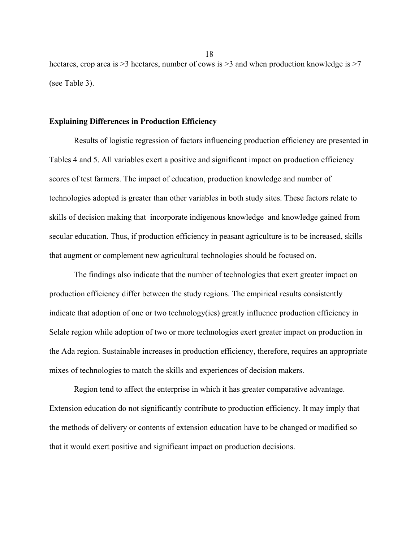hectares, crop area is > 3 hectares, number of cows is > 3 and when production knowledge is > 7 (see Table 3).

#### **Explaining Differences in Production Efficiency**

 Results of logistic regression of factors influencing production efficiency are presented in Tables 4 and 5. All variables exert a positive and significant impact on production efficiency scores of test farmers. The impact of education, production knowledge and number of technologies adopted is greater than other variables in both study sites. These factors relate to skills of decision making that incorporate indigenous knowledge and knowledge gained from secular education. Thus, if production efficiency in peasant agriculture is to be increased, skills that augment or complement new agricultural technologies should be focused on.

 The findings also indicate that the number of technologies that exert greater impact on production efficiency differ between the study regions. The empirical results consistently indicate that adoption of one or two technology(ies) greatly influence production efficiency in Selale region while adoption of two or more technologies exert greater impact on production in the Ada region. Sustainable increases in production efficiency, therefore, requires an appropriate mixes of technologies to match the skills and experiences of decision makers.

 Region tend to affect the enterprise in which it has greater comparative advantage. Extension education do not significantly contribute to production efficiency. It may imply that the methods of delivery or contents of extension education have to be changed or modified so that it would exert positive and significant impact on production decisions.

18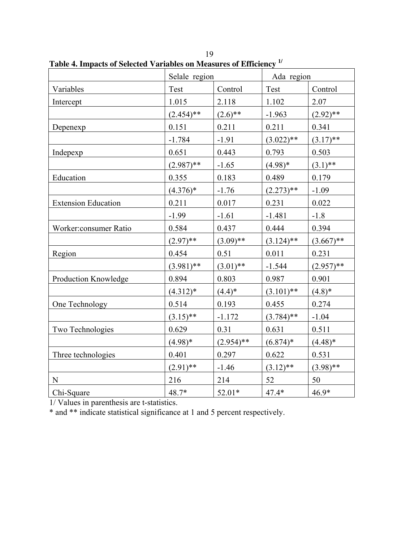|                            | Selale region |              | Ada region   |              |
|----------------------------|---------------|--------------|--------------|--------------|
| Variables                  | Test          | Control      | Test         | Control      |
| Intercept                  | 1.015         | 2.118        | 1.102        | 2.07         |
|                            | $(2.454)$ **  | $(2.6)$ **   | $-1.963$     | $(2.92)$ **  |
| Depenexp                   | 0.151         | 0.211        | 0.211        | 0.341        |
|                            | $-1.784$      | $-1.91$      | $(3.022)**$  | $(3.17)$ **  |
| Indepexp                   | 0.651         | 0.443        | 0.793        | 0.503        |
|                            | $(2.987)$ **  | $-1.65$      | $(4.98)*$    | $(3.1)$ **   |
| Education                  | 0.355         | 0.183        | 0.489        | 0.179        |
|                            | $(4.376)*$    | $-1.76$      | $(2.273)$ ** | $-1.09$      |
| <b>Extension Education</b> | 0.211         | 0.017        | 0.231        | 0.022        |
|                            | $-1.99$       | $-1.61$      | $-1.481$     | $-1.8$       |
| Worker:consumer Ratio      | 0.584         | 0.437        | 0.444        | 0.394        |
|                            | $(2.97)$ **   | $(3.09)$ **  | $(3.124)$ ** | $(3.667)$ ** |
| Region                     | 0.454         | 0.51         | 0.011        | 0.231        |
|                            | $(3.981)$ **  | $(3.01)$ **  | $-1.544$     | $(2.957)$ ** |
| Production Knowledge       | 0.894         | 0.803        | 0.987        | 0.901        |
|                            | $(4.312)*$    | $(4.4)$ *    | $(3.101)$ ** | $(4.8)$ *    |
| One Technology             | 0.514         | 0.193        | 0.455        | 0.274        |
|                            | $(3.15)$ **   | $-1.172$     | $(3.784)$ ** | $-1.04$      |
| Two Technologies           | 0.629         | 0.31         | 0.631        | 0.511        |
|                            | $(4.98)*$     | $(2.954)$ ** | $(6.874)*$   | $(4.48)$ *   |
| Three technologies         | 0.401         | 0.297        | 0.622        | 0.531        |
|                            | $(2.91)$ **   | $-1.46$      | $(3.12)$ **  | $(3.98)$ **  |
| ${\bf N}$                  | 216           | 214          | 52           | 50           |
| Chi-Square                 | 48.7*         | 52.01*       | 47.4*        | $46.9*$      |

19 **Table 4. Impacts of Selected Variables on Measures of Efficiency 1/** 

1/ Values in parenthesis are t-statistics.

\* and \*\* indicate statistical significance at 1 and 5 percent respectively.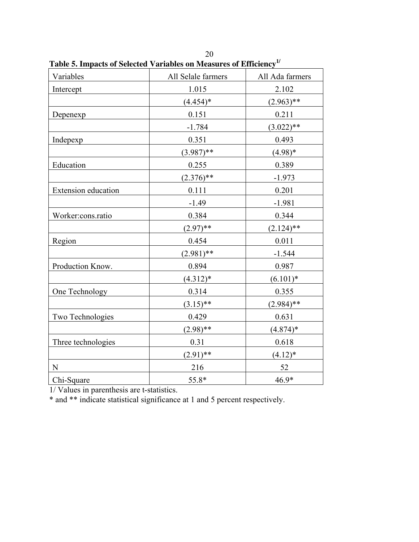| Variables           | All Selale farmers | All Ada farmers |
|---------------------|--------------------|-----------------|
| Intercept           | 1.015              | 2.102           |
|                     | $(4.454)*$         | $(2.963)$ **    |
| Depenexp            | 0.151              | 0.211           |
|                     | $-1.784$           | $(3.022)$ **    |
| Indepexp            | 0.351              | 0.493           |
|                     | $(3.987)$ **       | $(4.98)*$       |
| Education           | 0.255              | 0.389           |
|                     | $(2.376)$ **       | $-1.973$        |
| Extension education | 0.111              | 0.201           |
|                     | $-1.49$            | $-1.981$        |
| Worker:cons.ratio   | 0.384              | 0.344           |
|                     | $(2.97)$ **        | $(2.124)$ **    |
| Region              | 0.454              | 0.011           |
|                     | $(2.981)$ **       | $-1.544$        |
| Production Know.    | 0.894              | 0.987           |
|                     | $(4.312)*$         | $(6.101)*$      |
| One Technology      | 0.314              | 0.355           |
|                     | $(3.15)$ **        | $(2.984)$ **    |
| Two Technologies    | 0.429              | 0.631           |
|                     | $(2.98)$ **        | $(4.874)*$      |
| Three technologies  | 0.31               | 0.618           |
|                     | $(2.91)$ **        | $(4.12)^*$      |
| N                   | 216                | 52              |
| Chi-Square          | 55.8*              | 46.9*           |

20 **Table 5. Impacts of Selected Variables on Measures of Efficiency1/**

1/ Values in parenthesis are t-statistics.

\* and \*\* indicate statistical significance at 1 and 5 percent respectively.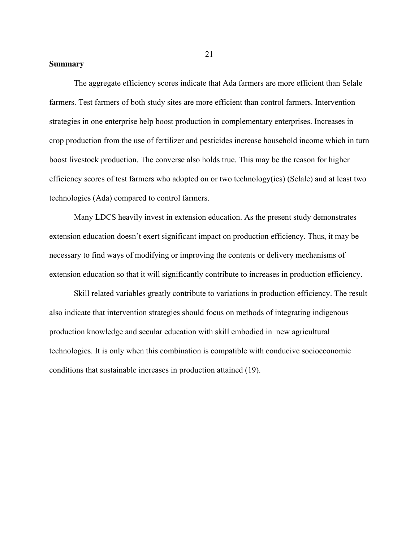## **Summary**

 The aggregate efficiency scores indicate that Ada farmers are more efficient than Selale farmers. Test farmers of both study sites are more efficient than control farmers. Intervention strategies in one enterprise help boost production in complementary enterprises. Increases in crop production from the use of fertilizer and pesticides increase household income which in turn boost livestock production. The converse also holds true. This may be the reason for higher efficiency scores of test farmers who adopted on or two technology(ies) (Selale) and at least two technologies (Ada) compared to control farmers.

 Many LDCS heavily invest in extension education. As the present study demonstrates extension education doesn't exert significant impact on production efficiency. Thus, it may be necessary to find ways of modifying or improving the contents or delivery mechanisms of extension education so that it will significantly contribute to increases in production efficiency.

 Skill related variables greatly contribute to variations in production efficiency. The result also indicate that intervention strategies should focus on methods of integrating indigenous production knowledge and secular education with skill embodied in new agricultural technologies. It is only when this combination is compatible with conducive socioeconomic conditions that sustainable increases in production attained (19).

21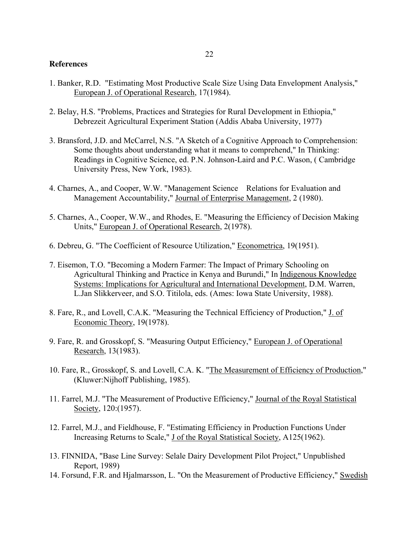#### **References**

- 1. Banker, R.D. "Estimating Most Productive Scale Size Using Data Envelopment Analysis," European J. of Operational Research, 17(1984).
- 2. Belay, H.S. "Problems, Practices and Strategies for Rural Development in Ethiopia," Debrezeit Agricultural Experiment Station (Addis Ababa University, 1977)
- 3. Bransford, J.D. and McCarrel, N.S. "A Sketch of a Cognitive Approach to Comprehension: Some thoughts about understanding what it means to comprehend," In Thinking: Readings in Cognitive Science, ed. P.N. Johnson-Laird and P.C. Wason, ( Cambridge University Press, New York, 1983).
- 4. Charnes, A., and Cooper, W.W. "Management Science Relations for Evaluation and Management Accountability," Journal of Enterprise Management, 2 (1980).
- 5. Charnes, A., Cooper, W.W., and Rhodes, E. "Measuring the Efficiency of Decision Making Units," European J. of Operational Research, 2(1978).
- 6. Debreu, G. "The Coefficient of Resource Utilization," Econometrica, 19(1951).
- 7. Eisemon, T.O. "Becoming a Modern Farmer: The Impact of Primary Schooling on Agricultural Thinking and Practice in Kenya and Burundi," In Indigenous Knowledge Systems: Implications for Agricultural and International Development, D.M. Warren, L.Jan Slikkerveer, and S.O. Titilola, eds. (Ames: Iowa State University, 1988).
- 8. Fare, R., and Lovell, C.A.K. "Measuring the Technical Efficiency of Production," J. of Economic Theory, 19(1978).
- 9. Fare, R. and Grosskopf, S. "Measuring Output Efficiency," European J. of Operational Research, 13(1983).
- 10. Fare, R., Grosskopf, S. and Lovell, C.A. K. "The Measurement of Efficiency of Production," (Kluwer:Nijhoff Publishing, 1985).
- 11. Farrel, M.J. "The Measurement of Productive Efficiency," Journal of the Royal Statistical Society, 120:(1957).
- 12. Farrel, M.J., and Fieldhouse, F. "Estimating Efficiency in Production Functions Under Increasing Returns to Scale," J of the Royal Statistical Society, A125(1962).
- 13. FINNIDA, "Base Line Survey: Selale Dairy Development Pilot Project," Unpublished Report, 1989)
- 14. Forsund, F.R. and Hjalmarsson, L. "On the Measurement of Productive Efficiency," Swedish